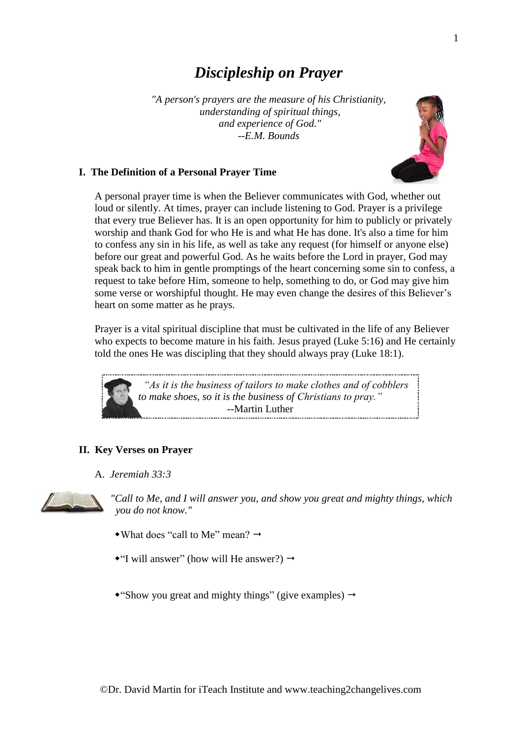# *Discipleship on Prayer*

*"A person's prayers are the measure of his Christianity, understanding of spiritual things, and experience of God." --E.M. Bounds*



### **I. The Definition of a Personal Prayer Time**

A personal prayer time is when the Believer communicates with God, whether out loud or silently. At times, prayer can include listening to God. Prayer is a privilege that every true Believer has. It is an open opportunity for him to publicly or privately worship and thank God for who He is and what He has done. It's also a time for him to confess any sin in his life, as well as take any request (for himself or anyone else) before our great and powerful God. As he waits before the Lord in prayer, God may speak back to him in gentle promptings of the heart concerning some sin to confess, a request to take before Him, someone to help, something to do, or God may give him some verse or worshipful thought. He may even change the desires of this Believer's heart on some matter as he prays.

Prayer is a vital spiritual discipline that must be cultivated in the life of any Believer who expects to become mature in his faith. Jesus prayed (Luke 5:16) and He certainly told the ones He was discipling that they should always pray (Luke 18:1).



## **II. Key Verses on Prayer**

A. *Jeremiah 33:3*



*"Call to Me, and I will answer you, and show you great and mighty things, which you do not know."*

- $\bullet$  What does "call to Me" mean?  $\rightarrow$
- $\bullet$ "I will answer" (how will He answer?)  $\rightarrow$
- "Show you great and mighty things" (give examples)  $\rightarrow$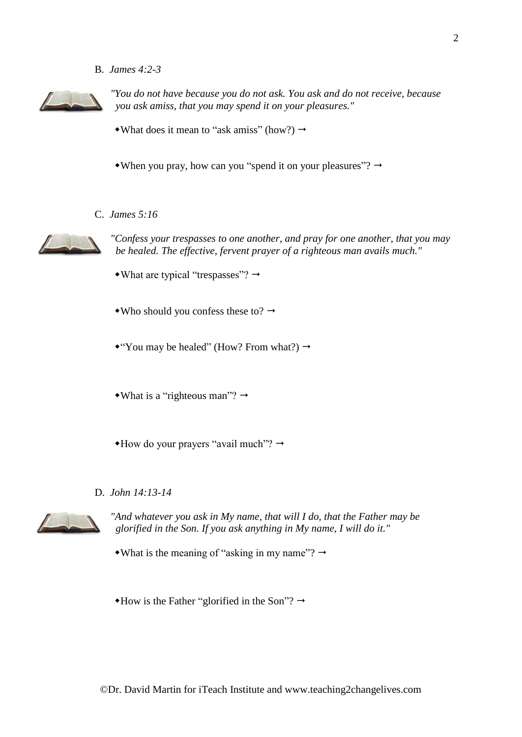B. *James 4:2-3*



*"You do not have because you do not ask. You ask and do not receive, because you ask amiss, that you may spend it on your pleasures."*

- What does it mean to "ask amiss" (how?)  $\rightarrow$
- When you pray, how can you "spend it on your pleasures"?  $\rightarrow$
- C. *James 5:16*



*"Confess your trespasses to one another, and pray for one another, that you may be healed. The effective, fervent prayer of a righteous man avails much."*

- What are typical "trespasses"?  $\rightarrow$
- Who should you confess these to?  $\rightarrow$

\*"You may be healed" (How? From what?)  $\rightarrow$ 

• What is a "righteous man"?  $\rightarrow$ 

- $*$ How do your prayers "avail much"?  $\rightarrow$
- D. *John 14:13-14*



*"And whatever you ask in My name, that will I do, that the Father may be glorified in the Son. If you ask anything in My name, I will do it."*

- What is the meaning of "asking in my name"?  $\rightarrow$
- $*$ How is the Father "glorified in the Son"?  $\rightarrow$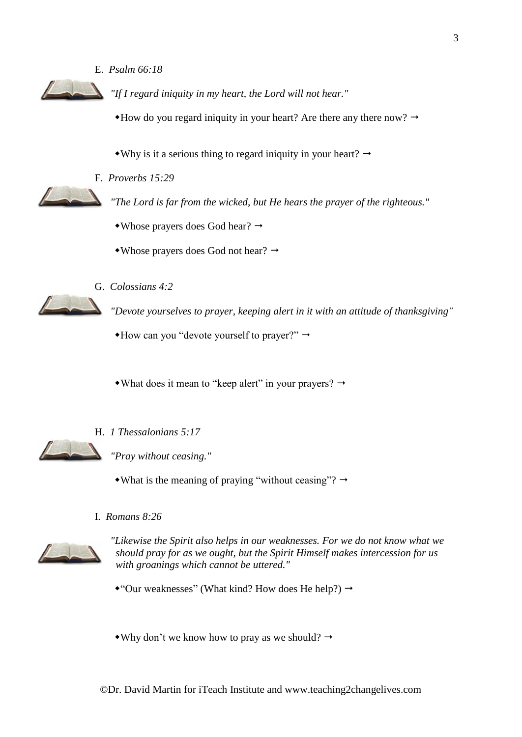E. *Psalm 66:18*



*"If I regard iniquity in my heart, the Lord will not hear."*

 $*$  How do you regard iniquity in your heart? Are there any there now?  $\rightarrow$ 

 $\bullet$ Why is it a serious thing to regard iniquity in your heart?  $\rightarrow$ 

F. *Proverbs 15:29*

*"The Lord is far from the wicked, but He hears the prayer of the righteous."*

 $\triangle$ Whose prayers does God hear?  $\rightarrow$ 

 $\bullet$  Whose prayers does God not hear?  $\rightarrow$ 

G. *Colossians 4:2*

*"Devote yourselves to prayer, keeping alert in it with an attitude of thanksgiving"*

 $*$ How can you "devote yourself to prayer?"  $\rightarrow$ 

• What does it mean to "keep alert" in your prayers?  $\rightarrow$ 



H. *1 Thessalonians 5:17*

*"Pray without ceasing."*

• What is the meaning of praying "without ceasing"?  $\rightarrow$ 

I. *Romans 8:26*



*"Likewise the Spirit also helps in our weaknesses. For we do not know what we should pray for as we ought, but the Spirit Himself makes intercession for us with groanings which cannot be uttered."*

\*"Our weaknesses" (What kind? How does He help?)  $\rightarrow$ 

• Why don't we know how to pray as we should?  $\rightarrow$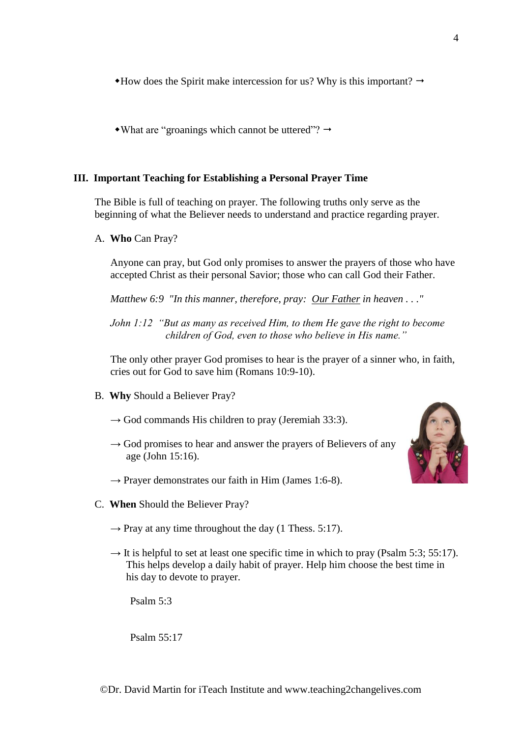$*$ How does the Spirit make intercession for us? Why is this important?  $\rightarrow$ 

• What are "groanings which cannot be uttered"?  $\rightarrow$ 

#### **III. Important Teaching for Establishing a Personal Prayer Time**

The Bible is full of teaching on prayer. The following truths only serve as the beginning of what the Believer needs to understand and practice regarding prayer.

A. **Who** Can Pray?

Anyone can pray, but God only promises to answer the prayers of those who have accepted Christ as their personal Savior; those who can call God their Father.

*Matthew 6:9 "In this manner, therefore, pray: Our Father in heaven . . ."*

*John 1:12 "But as many as received Him, to them He gave the right to become children of God, even to those who believe in His name."*

The only other prayer God promises to hear is the prayer of a sinner who, in faith, cries out for God to save him (Romans 10:9-10).

- B. **Why** Should a Believer Pray?
	- $\rightarrow$  God commands His children to pray (Jeremiah 33:3).
	- $\rightarrow$  God promises to hear and answer the prayers of Believers of any age (John 15:16).
	- $\rightarrow$  Prayer demonstrates our faith in Him (James 1:6-8).
- C. **When** Should the Believer Pray?
	- $\rightarrow$  Pray at any time throughout the day (1 Thess. 5:17).
	- $\rightarrow$  It is helpful to set at least one specific time in which to pray (Psalm 5:3; 55:17). This helps develop a daily habit of prayer. Help him choose the best time in his day to devote to prayer.

Psalm 5:3

Psalm 55:17

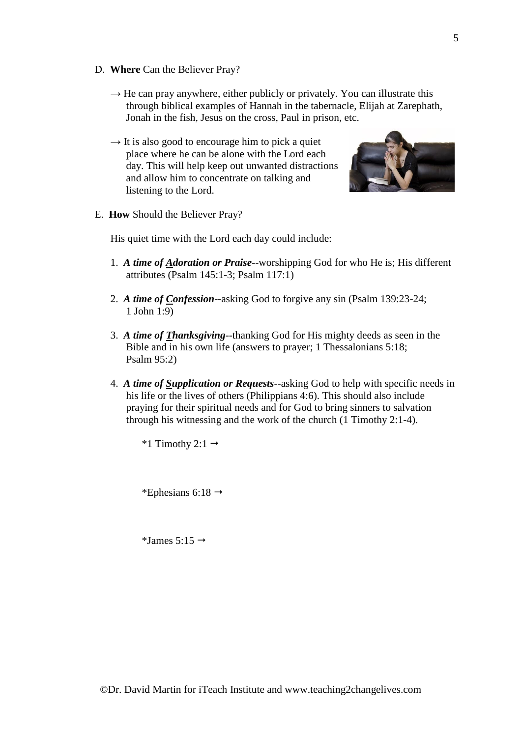- D. **Where** Can the Believer Pray?
	- $\rightarrow$  He can pray anywhere, either publicly or privately. You can illustrate this through biblical examples of Hannah in the tabernacle, Elijah at Zarephath, Jonah in the fish, Jesus on the cross, Paul in prison, etc.
	- $\rightarrow$  It is also good to encourage him to pick a quiet place where he can be alone with the Lord each day. This will help keep out unwanted distractions and allow him to concentrate on talking and listening to the Lord.



E. **How** Should the Believer Pray?

His quiet time with the Lord each day could include:

- 1. *A time of Adoration or Praise*--worshipping God for who He is; His different attributes (Psalm 145:1-3; Psalm 117:1)
- 2. *A time of Confession*--asking God to forgive any sin (Psalm 139:23-24; 1 John 1:9)
- 3. *A time of Thanksgiving*--thanking God for His mighty deeds as seen in the Bible and in his own life (answers to prayer; 1 Thessalonians 5:18; Psalm 95:2)
- 4. *A time of Supplication or Requests*--asking God to help with specific needs in his life or the lives of others (Philippians 4:6). This should also include praying for their spiritual needs and for God to bring sinners to salvation through his witnessing and the work of the church (1 Timothy 2:1-4).

\*1 Timothy 2:1  $\rightarrow$ 

\*Ephesians 6:18  $\rightarrow$ 

\*James 5:15  $\rightarrow$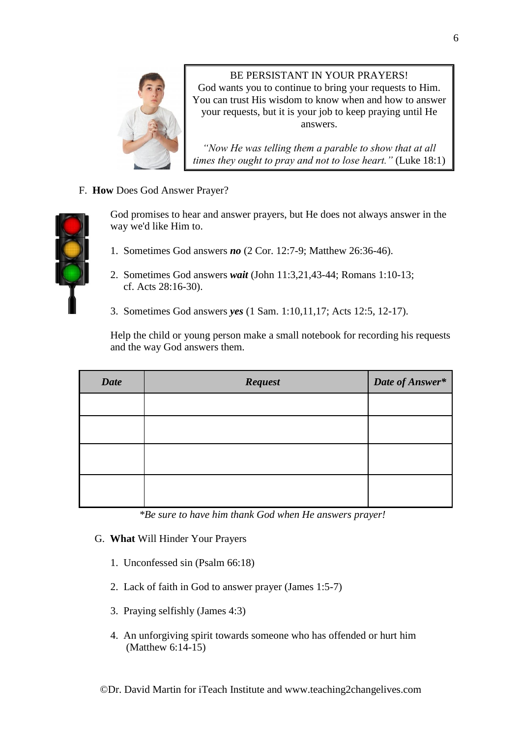

BE PERSISTANT IN YOUR PRAYERS! God wants you to continue to bring your requests to Him. You can trust His wisdom to know when and how to answer your requests, but it is your job to keep praying until He answers.

*"Now He was telling them a parable to show that at all times they ought to pray and not to lose heart."* (Luke 18:1)

F. **How** Does God Answer Prayer?



God promises to hear and answer prayers, but He does not always answer in the way we'd like Him to.

- 1. Sometimes God answers *no* (2 Cor. 12:7-9; Matthew 26:36-46).
- 2. Sometimes God answers *wait* (John 11:3,21,43-44; Romans 1:10-13; cf. Acts 28:16-30).
- 3. Sometimes God answers *yes* (1 Sam. 1:10,11,17; Acts 12:5, 12-17).

Help the child or young person make a small notebook for recording his requests and the way God answers them.

| <b>Date</b> | Request | Date of Answer* |
|-------------|---------|-----------------|
|             |         |                 |
|             |         |                 |
|             |         |                 |
|             |         |                 |

 *\*Be sure to have him thank God when He answers prayer!*

- G. **What** Will Hinder Your Prayers
	- 1. Unconfessed sin (Psalm 66:18)
	- 2. Lack of faith in God to answer prayer (James 1:5-7)
	- 3. Praying selfishly (James 4:3)
	- 4. An unforgiving spirit towards someone who has offended or hurt him (Matthew 6:14-15)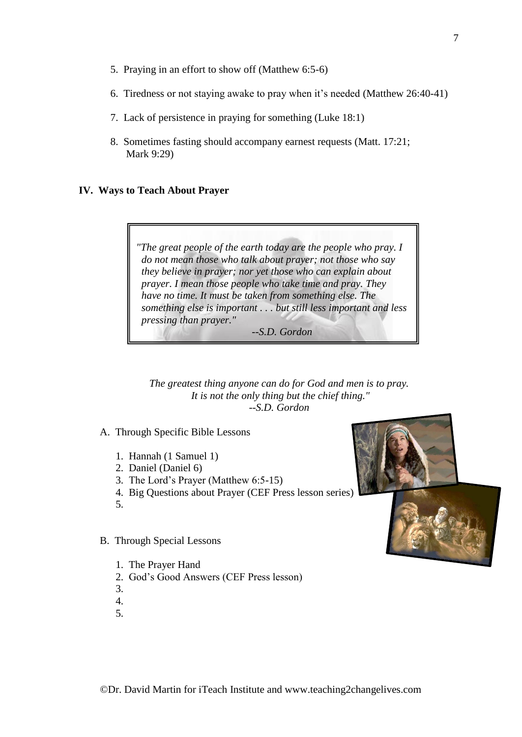- 5. Praying in an effort to show off (Matthew 6:5-6)
- 6. Tiredness or not staying awake to pray when it's needed (Matthew 26:40-41)
- 7. Lack of persistence in praying for something (Luke 18:1)
- 8. Sometimes fasting should accompany earnest requests (Matt. 17:21; Mark 9:29)

#### **IV. Ways to Teach About Prayer**



 *--S.D. Gordon*

*The greatest thing anyone can do for God and men is to pray. It is not the only thing but the chief thing." --S.D. Gordon*

A. Through Specific Bible Lessons

- 1. Hannah (1 Samuel 1)
- 2. Daniel (Daniel 6)
- 3. The Lord's Prayer (Matthew 6:5-15)
- 4. Big Questions about Prayer (CEF Press lesson series)
- 5.
- B. Through Special Lessons
	- 1. The Prayer Hand
	- 2. God's Good Answers (CEF Press lesson)
	- 3.
	- 4.
	- 5.



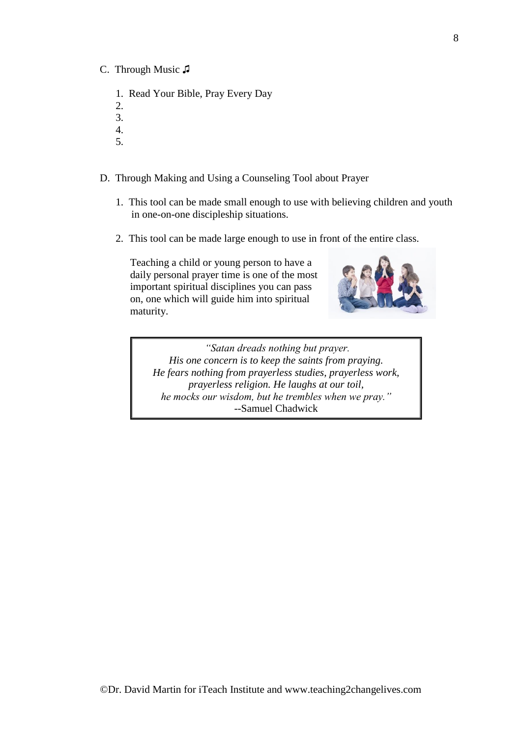- C. Through Music ♫
	- 1. Read Your Bible, Pray Every Day
	- 2.
	- 3.
	- 4. 5.
	-
- D. Through Making and Using a Counseling Tool about Prayer
	- 1. This tool can be made small enough to use with believing children and youth in one-on-one discipleship situations.
	- 2. This tool can be made large enough to use in front of the entire class.

Teaching a child or young person to have a daily personal prayer time is one of the most important spiritual disciplines you can pass on, one which will guide him into spiritual maturity.



*"Satan dreads nothing but prayer. His one concern is to keep the saints from praying. He fears nothing from prayerless studies, prayerless work, prayerless religion. He laughs at our toil, he mocks our wisdom, but he trembles when we pray."* --Samuel Chadwick